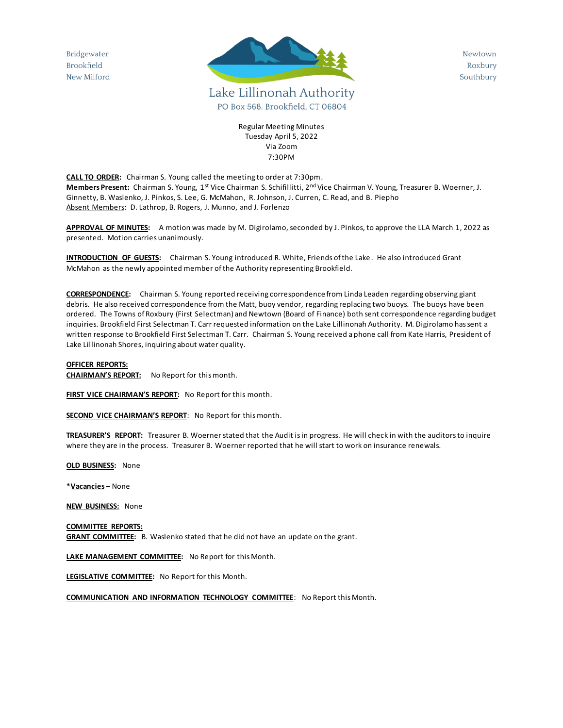Bridgewater Brookfield New Milford



Newtown Roxbury Southbury

Regular Meeting Minutes Tuesday April 5, 2022 Via Zoom 7:30PM

**CALL TO ORDER:** Chairman S. Young called the meeting to order at 7:30pm. **Members Present:** Chairman S. Young, 1st Vice Chairman S. Schifillitti, 2nd Vice Chairman V. Young, Treasurer B. Woerner, J. Ginnetty, B. Waslenko, J. Pinkos, S. Lee, G. McMahon, R. Johnson, J. Curren, C. Read, and B. Piepho Absent Members: D. Lathrop, B. Rogers, J. Munno, and J. Forlenzo

**APPROVAL OF MINUTES:** A motion was made by M. Digirolamo, seconded by J. Pinkos, to approve the LLA March 1, 2022 as presented. Motion carries unanimously.

**INTRODUCTION OF GUESTS:** Chairman S. Young introduced R. White, Friends of the Lake. He also introduced Grant McMahon as the newly appointed member of the Authority representing Brookfield.

**CORRESPONDENCE:** Chairman S. Young reported receiving correspondence from Linda Leaden regarding observing giant debris. He also received correspondence from the Matt, buoy vendor, regarding replacing two buoys. The buoys have been ordered. The Towns of Roxbury (First Selectman) and Newtown (Board of Finance) both sent correspondence regarding budget inquiries. Brookfield First Selectman T. Carr requested information on the Lake Lillinonah Authority. M. Digirolamo has sent a written response to Brookfield First Selectman T. Carr. Chairman S. Young received a phone call from Kate Harris, President of Lake Lillinonah Shores, inquiring about water quality.

## **OFFICER REPORTS:**

**CHAIRMAN'S REPORT:** No Report for this month.

**FIRST VICE CHAIRMAN'S REPORT:** No Report for this month.

**SECOND VICE CHAIRMAN'S REPORT**: No Report for this month.

**TREASURER'S REPORT:** Treasurer B. Woerner stated that the Audit is in progress. He will check in with the auditors to inquire where they are in the process. Treasurer B. Woerner reported that he will start to work on insurance renewals.

**OLD BUSINESS:** None

**\*Vacancies –** None

**NEW BUSINESS:** None

**COMMITTEE REPORTS: GRANT COMMITTEE:** B. Waslenko stated that he did not have an update on the grant.

**LAKE MANAGEMENT COMMITTEE:** No Report for this Month.

**LEGISLATIVE COMMITTEE:** No Report for this Month.

**COMMUNICATION AND INFORMATION TECHNOLOGY COMMITTEE**: No Report this Month.